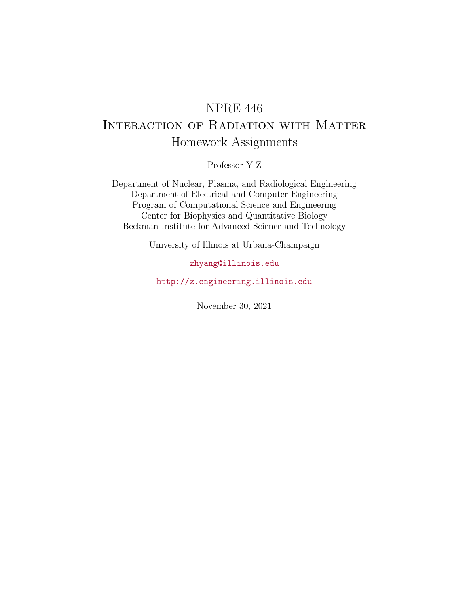# NPRE 446 Interaction of Radiation with Matter Homework Assignments

Professor Y Z

Department of Nuclear, Plasma, and Radiological Engineering Department of Electrical and Computer Engineering Program of Computational Science and Engineering Center for Biophysics and Quantitative Biology Beckman Institute for Advanced Science and Technology

University of Illinois at Urbana-Champaign

### [zhyang@illinois.edu](mailto:zhyang@illinois.edu)

<http://z.engineering.illinois.edu>

November 30, 2021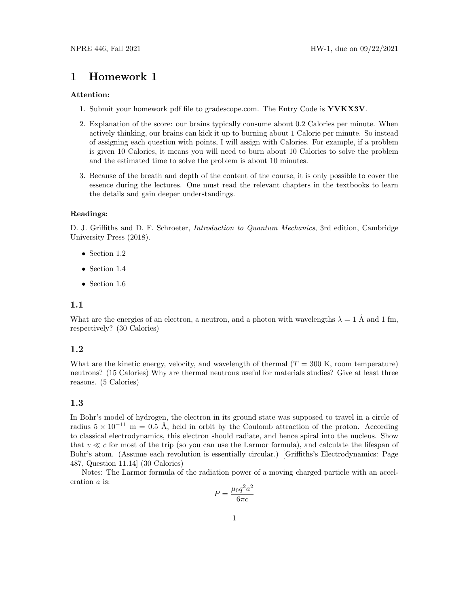#### Attention:

- 1. Submit your homework pdf file to gradescope.com. The Entry Code is YVKX3V.
- 2. Explanation of the score: our brains typically consume about 0.2 Calories per minute. When actively thinking, our brains can kick it up to burning about 1 Calorie per minute. So instead of assigning each question with points, I will assign with Calories. For example, if a problem is given 10 Calories, it means you will need to burn about 10 Calories to solve the problem and the estimated time to solve the problem is about 10 minutes.
- 3. Because of the breath and depth of the content of the course, it is only possible to cover the essence during the lectures. One must read the relevant chapters in the textbooks to learn the details and gain deeper understandings.

#### Readings:

D. J. Griffiths and D. F. Schroeter, *Introduction to Quantum Mechanics*, 3rd edition, Cambridge University Press (2018).

- Section 1.2
- Section 1.4
- Section 1.6

#### 1.1

What are the energies of an electron, a neutron, and a photon with wavelengths  $\lambda = 1$  Å and 1 fm, respectively? (30 Calories)

#### 1.2

What are the kinetic energy, velocity, and wavelength of thermal  $(T = 300 \text{ K}$ , room temperature) neutrons? (15 Calories) Why are thermal neutrons useful for materials studies? Give at least three reasons. (5 Calories)

#### 1.3

In Bohr's model of hydrogen, the electron in its ground state was supposed to travel in a circle of radius  $5 \times 10^{-11}$  m = 0.5 Å, held in orbit by the Coulomb attraction of the proton. According to classical electrodynamics, this electron should radiate, and hence spiral into the nucleus. Show that  $v \ll c$  for most of the trip (so you can use the Larmor formula), and calculate the lifespan of Bohr's atom. (Assume each revolution is essentially circular.) [Griffiths's Electrodynamics: Page 487, Question 11.14] (30 Calories)

Notes: The Larmor formula of the radiation power of a moving charged particle with an acceleration a is:

$$
P = \frac{\mu_0 q^2 a^2}{6\pi c}
$$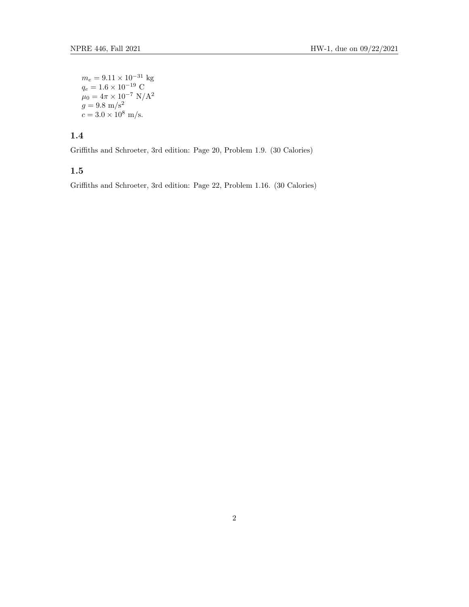$m_e = 9.11 \times 10^{-31}$  kg  $q_e = 1.6 \times 10^{-19}$  C  $\mu_0 = 4\pi \times 10^{-7} \text{ N/A}^2$  $g = 9.8 \text{ m/s}^2$  $c = 3.0 \times 10^8$  m/s.

## 1.4

Griffiths and Schroeter, 3rd edition: Page 20, Problem 1.9. (30 Calories)

### 1.5

Griffiths and Schroeter, 3rd edition: Page 22, Problem 1.16. (30 Calories)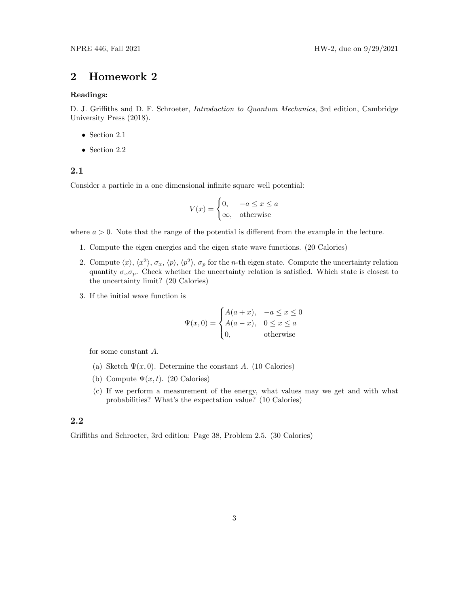#### Readings:

D. J. Griffiths and D. F. Schroeter, *Introduction to Quantum Mechanics*, 3rd edition, Cambridge University Press (2018).

- Section 2.1
- Section 2.2

#### 2.1

Consider a particle in a one dimensional infinite square well potential:

$$
V(x) = \begin{cases} 0, & -a \le x \le a \\ \infty, & \text{otherwise} \end{cases}
$$

where  $a > 0$ . Note that the range of the potential is different from the example in the lecture.

- 1. Compute the eigen energies and the eigen state wave functions. (20 Calories)
- 2. Compute  $\langle x\rangle$ ,  $\langle x^2\rangle$ ,  $\sigma_x$ ,  $\langle p\rangle$ ,  $\langle p^2\rangle$ ,  $\sigma_p$  for the *n*-th eigen state. Compute the uncertainty relation quantity  $\sigma_x \sigma_p$ . Check whether the uncertainty relation is satisfied. Which state is closest to the uncertainty limit? (20 Calories)
- 3. If the initial wave function is

$$
\Psi(x,0) = \begin{cases}\nA(a+x), & -a \le x \le 0 \\
A(a-x), & 0 \le x \le a \\
0, & \text{otherwise}\n\end{cases}
$$

for some constant A.

- (a) Sketch  $\Psi(x, 0)$ . Determine the constant A. (10 Calories)
- (b) Compute  $\Psi(x, t)$ . (20 Calories)
- (c) If we perform a measurement of the energy, what values may we get and with what probabilities? What's the expectation value? (10 Calories)

### 2.2

Griffiths and Schroeter, 3rd edition: Page 38, Problem 2.5. (30 Calories)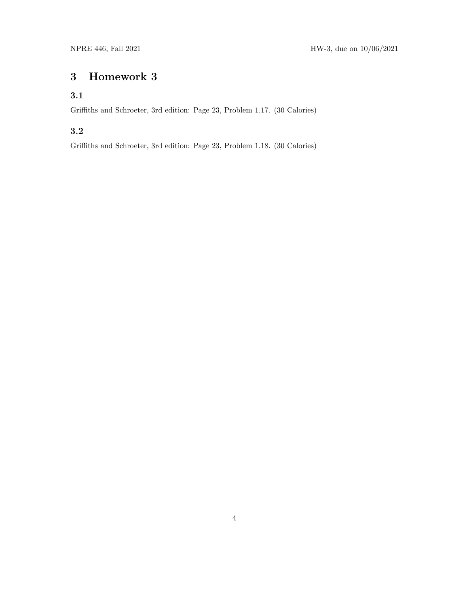### 3.1

Griffiths and Schroeter, 3rd edition: Page 23, Problem 1.17. (30 Calories)

### 3.2

Griffiths and Schroeter, 3rd edition: Page 23, Problem 1.18. (30 Calories)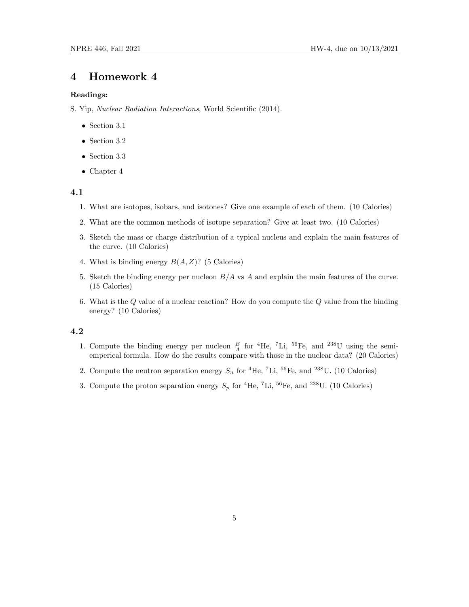#### Readings:

S. Yip, Nuclear Radiation Interactions, World Scientific (2014).

- Section 3.1
- Section 3.2
- Section 3.3
- Chapter 4

#### 4.1

- 1. What are isotopes, isobars, and isotones? Give one example of each of them. (10 Calories)
- 2. What are the common methods of isotope separation? Give at least two. (10 Calories)
- 3. Sketch the mass or charge distribution of a typical nucleus and explain the main features of the curve. (10 Calories)
- 4. What is binding energy  $B(A, Z)$ ? (5 Calories)
- 5. Sketch the binding energy per nucleon  $B/A$  vs  $A$  and explain the main features of the curve. (15 Calories)
- 6. What is the  $Q$  value of a nuclear reaction? How do you compute the  $Q$  value from the binding energy? (10 Calories)

#### 4.2

- 1. Compute the binding energy per nucleon  $\frac{B}{A}$  for <sup>4</sup>He, <sup>7</sup>Li, <sup>56</sup>Fe, and <sup>238</sup>U using the semiemperical formula. How do the results compare with those in the nuclear data? (20 Calories)
- 2. Compute the neutron separation energy  $S_n$  for <sup>4</sup>He, <sup>7</sup>Li, <sup>56</sup>Fe, and <sup>238</sup>U. (10 Calories)
- 3. Compute the proton separation energy  $S_p$  for <sup>4</sup>He, <sup>7</sup>Li, <sup>56</sup>Fe, and <sup>238</sup>U. (10 Calories)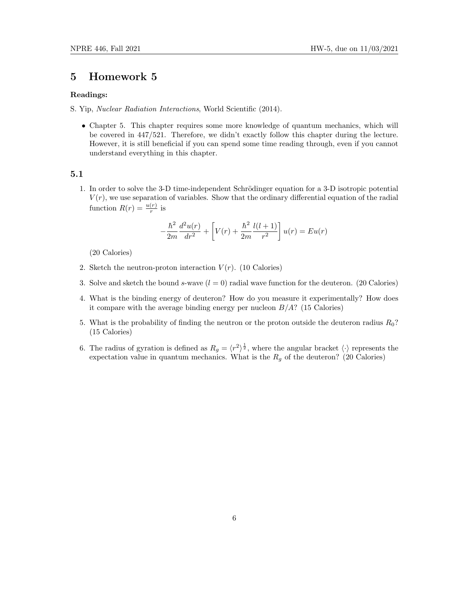#### Readings:

- S. Yip, Nuclear Radiation Interactions, World Scientific (2014).
	- Chapter 5. This chapter requires some more knowledge of quantum mechanics, which will be covered in 447/521. Therefore, we didn't exactly follow this chapter during the lecture. However, it is still beneficial if you can spend some time reading through, even if you cannot understand everything in this chapter.

#### 5.1

1. In order to solve the 3-D time-independent Schrödinger equation for a 3-D isotropic potential  $V(r)$ , we use separation of variables. Show that the ordinary differential equation of the radial function  $R(r) = \frac{u(r)}{r}$  is

$$
-\frac{\hbar^2}{2m}\frac{d^2u(r)}{dr^2} + \left[V(r) + \frac{\hbar^2}{2m}\frac{l(l+1)}{r^2}\right]u(r) = Eu(r)
$$

(20 Calories)

- 2. Sketch the neutron-proton interaction  $V(r)$ . (10 Calories)
- 3. Solve and sketch the bound s-wave  $(l = 0)$  radial wave function for the deuteron. (20 Calories)
- 4. What is the binding energy of deuteron? How do you measure it experimentally? How does it compare with the average binding energy per nucleon  $B/A$ ? (15 Calories)
- 5. What is the probability of finding the neutron or the proton outside the deuteron radius  $R_0$ ? (15 Calories)
- 6. The radius of gyration is defined as  $R_g = \langle r^2 \rangle^{\frac{1}{2}}$ , where the angular bracket  $\langle \cdot \rangle$  represents the expectation value in quantum mechanics. What is the  $R_g$  of the deuteron? (20 Calories)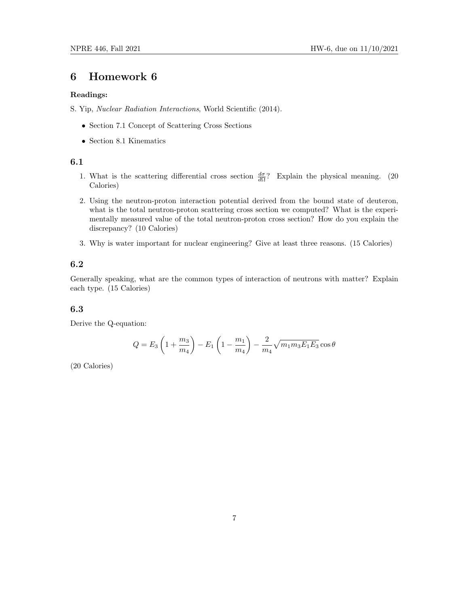#### Readings:

S. Yip, Nuclear Radiation Interactions, World Scientific (2014).

- Section 7.1 Concept of Scattering Cross Sections
- Section 8.1 Kinematics

### 6.1

- 1. What is the scattering differential cross section  $\frac{d\sigma}{d\Omega}$ ? Explain the physical meaning. (20 Calories)
- 2. Using the neutron-proton interaction potential derived from the bound state of deuteron, what is the total neutron-proton scattering cross section we computed? What is the experimentally measured value of the total neutron-proton cross section? How do you explain the discrepancy? (10 Calories)
- 3. Why is water important for nuclear engineering? Give at least three reasons. (15 Calories)

#### 6.2

Generally speaking, what are the common types of interaction of neutrons with matter? Explain each type. (15 Calories)

#### 6.3

Derive the Q-equation:

$$
Q = E_3 \left( 1 + \frac{m_3}{m_4} \right) - E_1 \left( 1 - \frac{m_1}{m_4} \right) - \frac{2}{m_4} \sqrt{m_1 m_3 E_1 E_3} \cos \theta
$$

(20 Calories)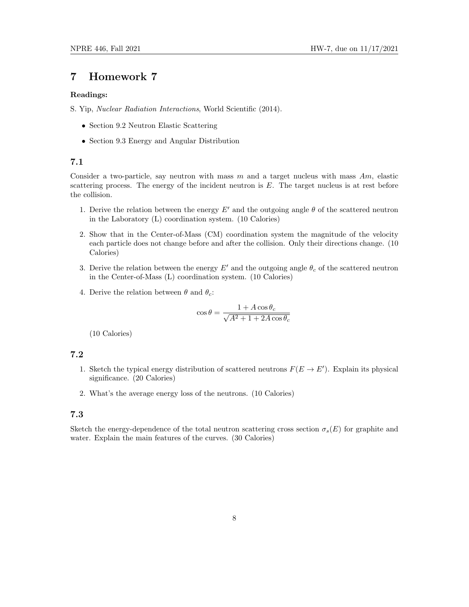#### Readings:

S. Yip, Nuclear Radiation Interactions, World Scientific (2014).

- Section 9.2 Neutron Elastic Scattering
- Section 9.3 Energy and Angular Distribution

#### 7.1

Consider a two-particle, say neutron with mass  $m$  and a target nucleus with mass  $Am$ , elastic scattering process. The energy of the incident neutron is  $E$ . The target nucleus is at rest before the collision.

- 1. Derive the relation between the energy  $E'$  and the outgoing angle  $\theta$  of the scattered neutron in the Laboratory (L) coordination system. (10 Calories)
- 2. Show that in the Center-of-Mass (CM) coordination system the magnitude of the velocity each particle does not change before and after the collision. Only their directions change. (10 Calories)
- 3. Derive the relation between the energy  $E'$  and the outgoing angle  $\theta_c$  of the scattered neutron in the Center-of-Mass (L) coordination system. (10 Calories)
- 4. Derive the relation between  $\theta$  and  $\theta_c$ :

$$
\cos \theta = \frac{1 + A \cos \theta_c}{\sqrt{A^2 + 1 + 2A \cos \theta_c}}
$$

(10 Calories)

### 7.2

- 1. Sketch the typical energy distribution of scattered neutrons  $F(E \to E')$ . Explain its physical significance. (20 Calories)
- 2. What's the average energy loss of the neutrons. (10 Calories)

### 7.3

Sketch the energy-dependence of the total neutron scattering cross section  $\sigma_s(E)$  for graphite and water. Explain the main features of the curves. (30 Calories)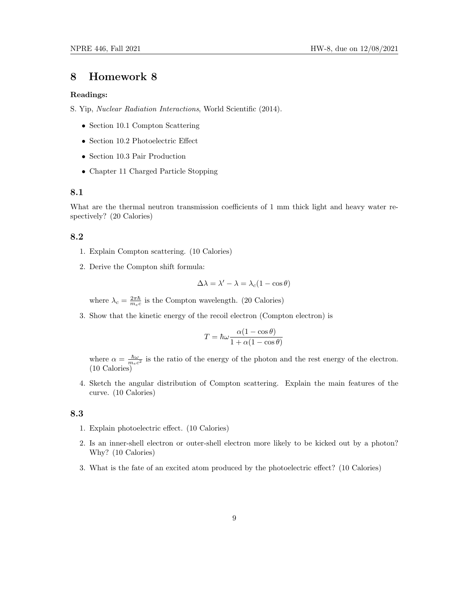#### Readings:

S. Yip, Nuclear Radiation Interactions, World Scientific (2014).

- Section 10.1 Compton Scattering
- Section 10.2 Photoelectric Effect
- Section 10.3 Pair Production
- Chapter 11 Charged Particle Stopping

#### 8.1

What are the thermal neutron transmission coefficients of 1 mm thick light and heavy water respectively? (20 Calories)

#### 8.2

- 1. Explain Compton scattering. (10 Calories)
- 2. Derive the Compton shift formula:

$$
\Delta \lambda = \lambda' - \lambda = \lambda_c (1 - \cos \theta)
$$

where  $\lambda_c = \frac{2\pi\hbar}{m_ec}$  is the Compton wavelength. (20 Calories)

3. Show that the kinetic energy of the recoil electron (Compton electron) is

$$
T = \hbar\omega \frac{\alpha(1 - \cos\theta)}{1 + \alpha(1 - \cos\theta)}
$$

where  $\alpha = \frac{\hbar \omega}{m_e c^2}$  is the ratio of the energy of the photon and the rest energy of the electron. (10 Calories)

4. Sketch the angular distribution of Compton scattering. Explain the main features of the curve. (10 Calories)

#### 8.3

- 1. Explain photoelectric effect. (10 Calories)
- 2. Is an inner-shell electron or outer-shell electron more likely to be kicked out by a photon? Why? (10 Calories)
- 3. What is the fate of an excited atom produced by the photoelectric effect? (10 Calories)